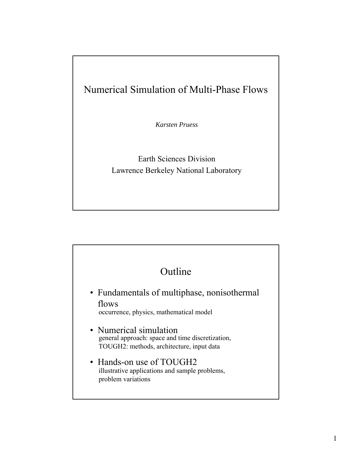## Numerical Simulation of Multi-Phase Flows

*Karsten Pruess*

Earth Sciences Division Lawrence Berkeley National Laboratory

## Outline

• Fundamentals of multiphase, nonisothermal flows

occurrence, physics, mathematical model

- Numerical simulation general approach: space and time discretization, TOUGH2: methods, architecture, input data
- Hands-on use of TOUGH2 illustrative applications and sample problems, problem variations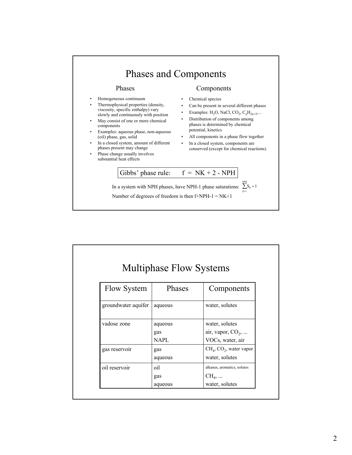

| <b>Multiphase Flow Systems</b> |                        |                                                                 |
|--------------------------------|------------------------|-----------------------------------------------------------------|
| <b>Flow System</b>             | Phases                 | Components                                                      |
| groundwater aquifer            | aqueous                | water, solutes                                                  |
| vadose zone                    | aqueous<br>gas<br>NAPL | water, solutes<br>air, vapor, $CO2$ ,<br>VOCs, water, air       |
| gas reservoir                  | gas<br>aqueous         | $CH4, CO2, water vapor$<br>water, solutes                       |
| oil reservoir                  | oil<br>gas<br>aqueous  | alkanes, aromatics, solutes<br>$CH_4, \ldots$<br>water, solutes |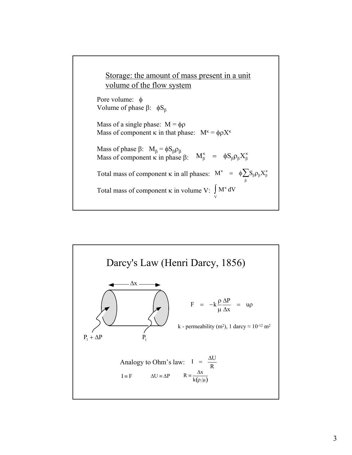

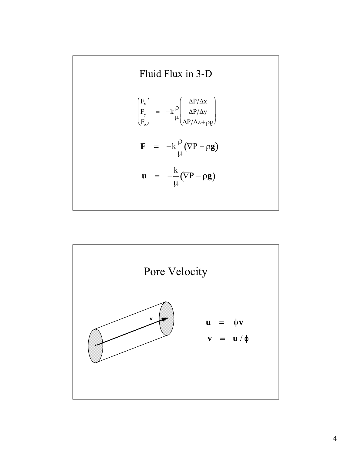Fluid Flux in 3-D

\n
$$
\begin{pmatrix}\nF_x \\
F_y \\
F_z\n\end{pmatrix} = -k \frac{\rho}{\mu} \begin{pmatrix}\n\Delta P/\Delta x \\
\Delta P/\Delta y \\
\Delta P/\Delta z + \rho g\n\end{pmatrix}
$$
\n
$$
\mathbf{F} = -k \frac{\rho}{\mu} (\nabla P - \rho g)
$$
\n
$$
\mathbf{u} = -\frac{k}{\mu} (\nabla P - \rho g)
$$

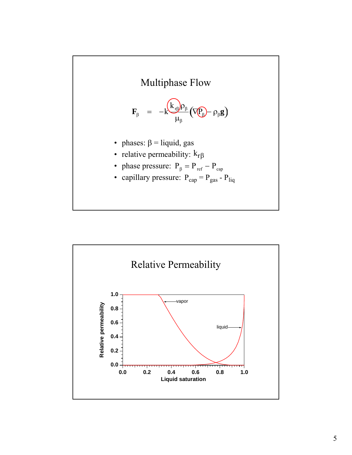

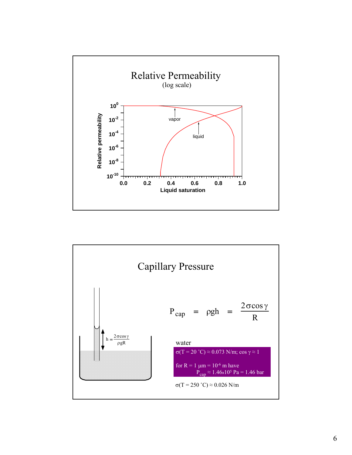

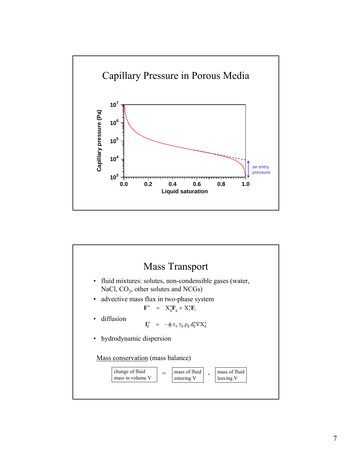

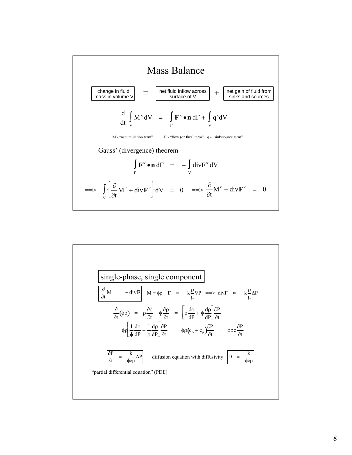

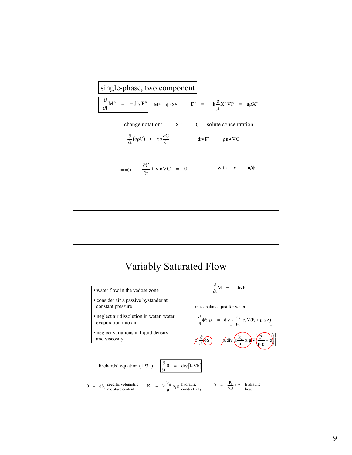

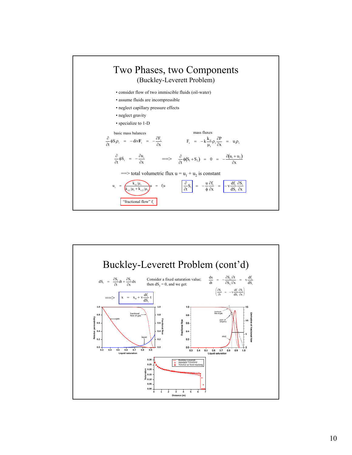

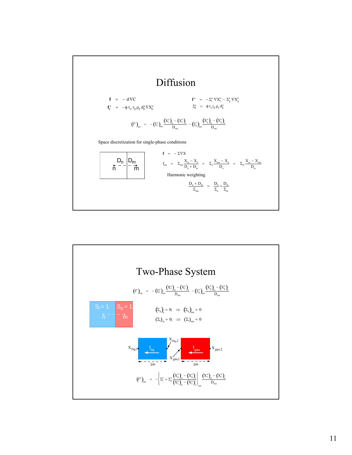

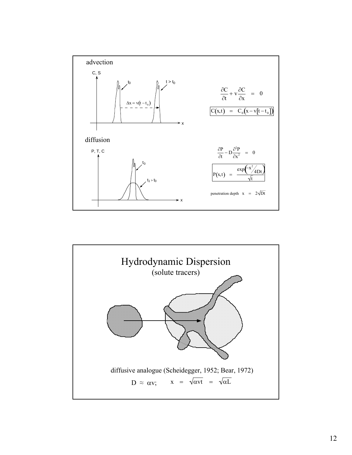

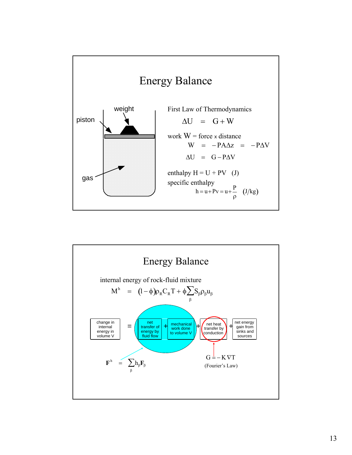

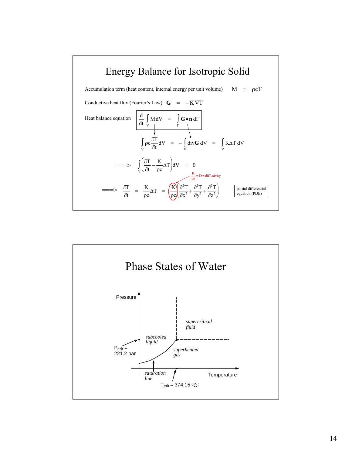

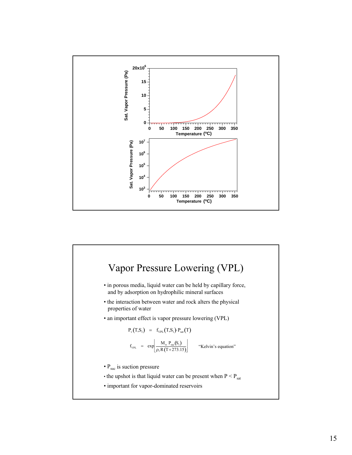

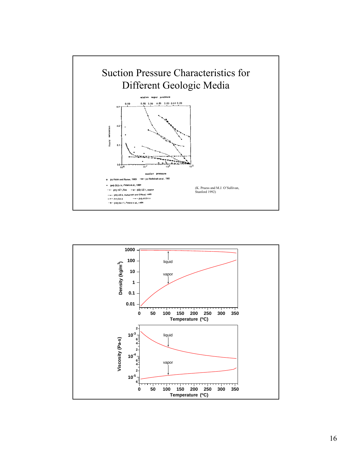

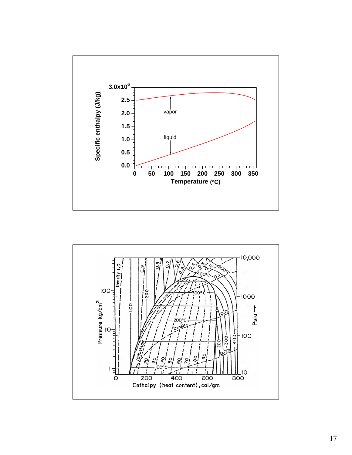

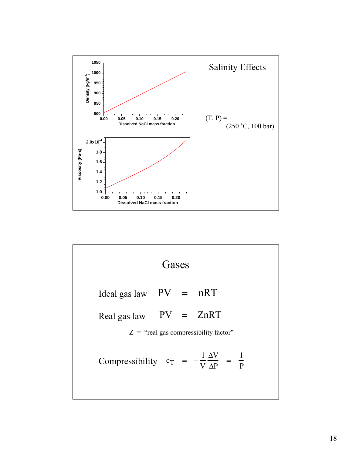

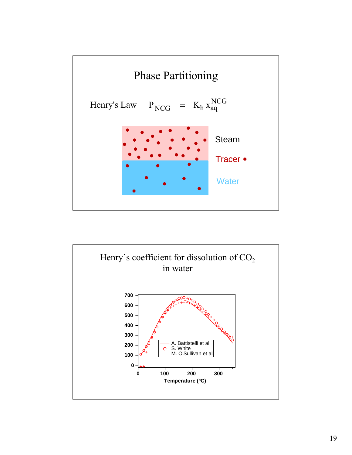

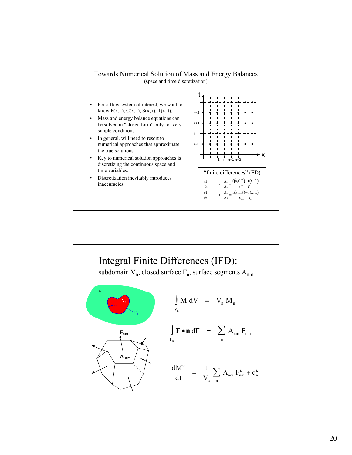

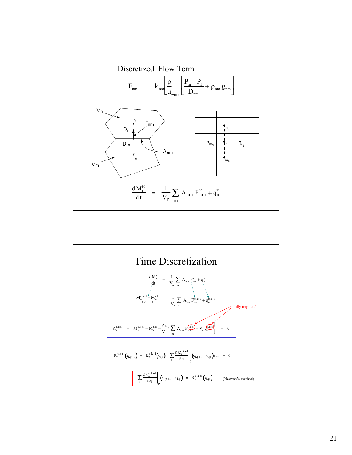

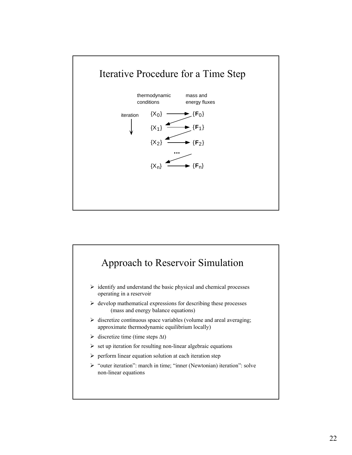

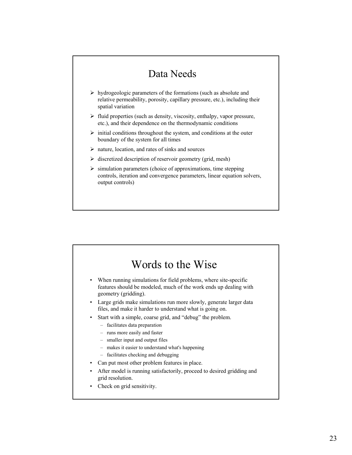## Data Needs

- $\triangleright$  hydrogeologic parameters of the formations (such as absolute and relative permeability, porosity, capillary pressure, etc.), including their spatial variation
- $\triangleright$  fluid properties (such as density, viscosity, enthalpy, vapor pressure, etc.), and their dependence on the thermodynamic conditions
- $\triangleright$  initial conditions throughout the system, and conditions at the outer boundary of the system for all times
- $\triangleright$  nature, location, and rates of sinks and sources
- $\triangleright$  discretized description of reservoir geometry (grid, mesh)
- $\triangleright$  simulation parameters (choice of approximations, time stepping controls, iteration and convergence parameters, linear equation solvers, output controls)

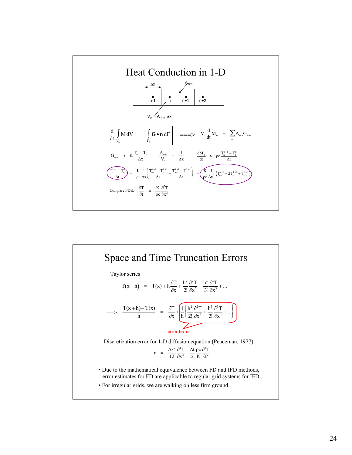

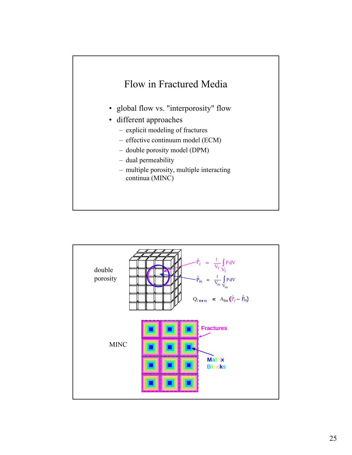

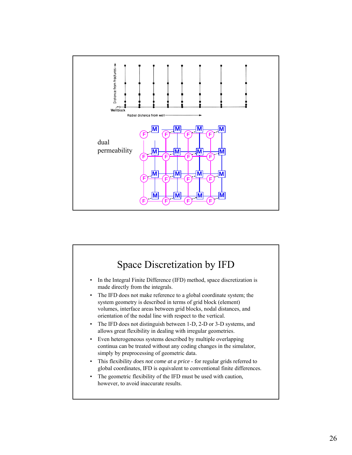

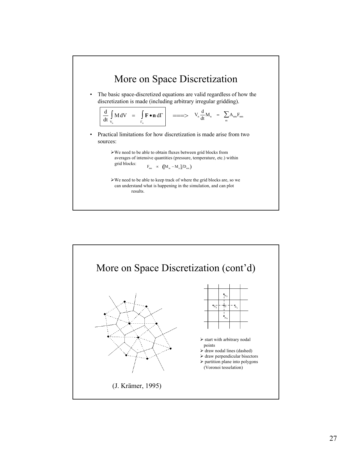

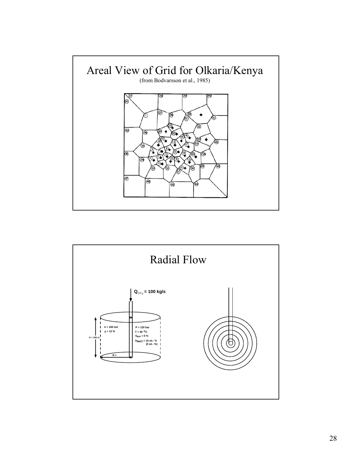

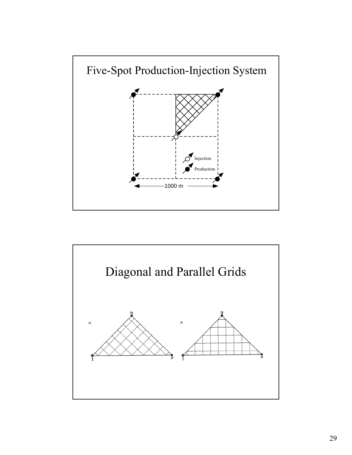

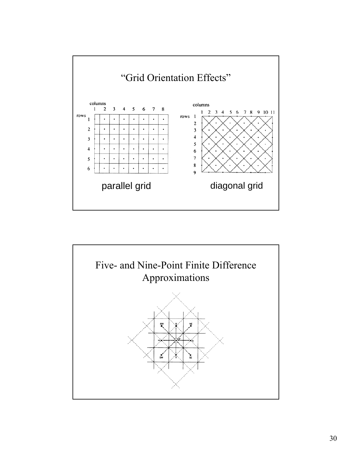

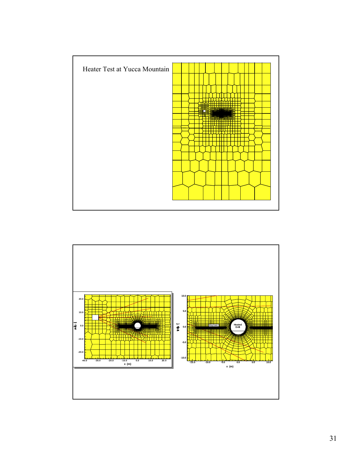

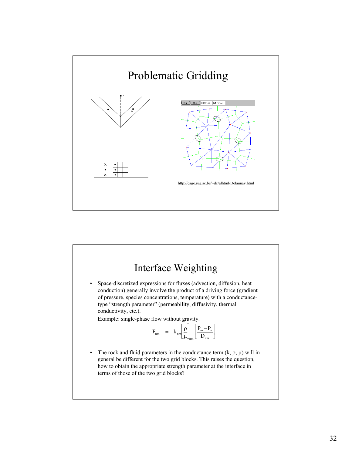

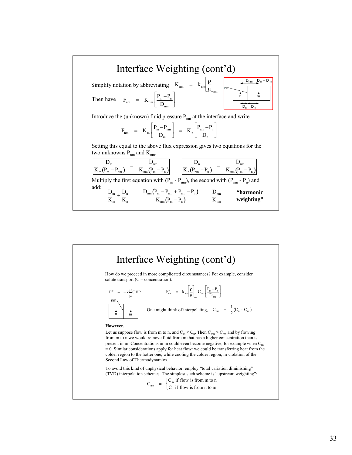